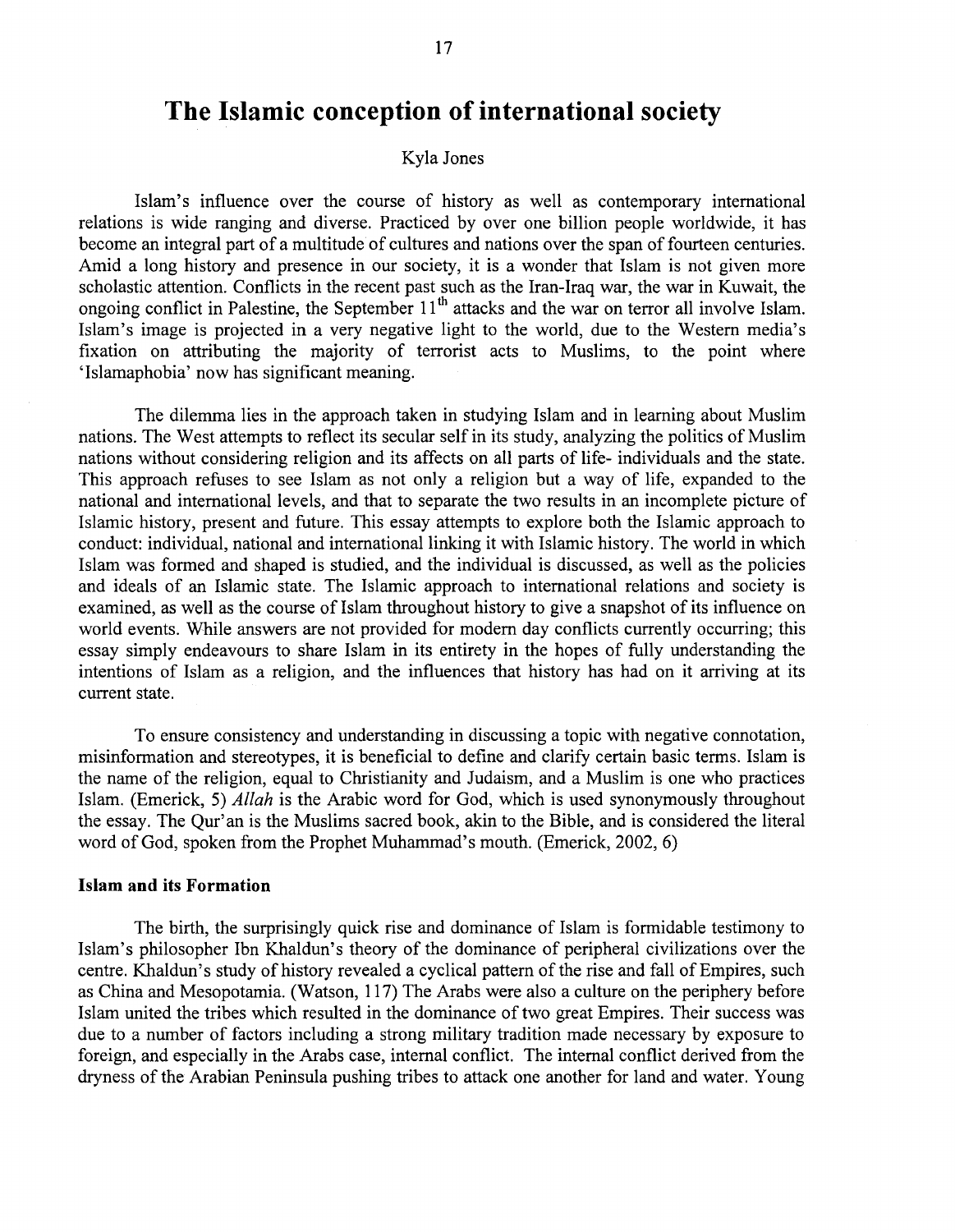# **The Islamic conception of international society**

# Kyla Jones

Islam's influence over the course of history as well as contemporary international relations is wide ranging and diverse. Practiced by over one billion people worldwide, it has become an integral part of a multitude of cultures and nations over the span of fourteen centuries. Amid a long history and presence in our society, it is a wonder that Islam is not given more scholastic attention. Conflicts in the recent past such as the Iran-Iraq war, the war in Kuwait, the ongoing conflict in Palestine, the September  $11<sup>th</sup>$  attacks and the war on terror all involve Islam. Islam's image is projected in a very negative light to the world, due to the Western media's fixation on attributing the majority of terrorist acts to Muslims, to the point where 'Islamaphobia' now has significant meaning.

The dilemma lies in the approach taken in studying Islam and in learning about Muslim nations. The West attempts to reflect its secular self in its study, analyzing the politics of Muslim nations without considering religion and its affects on all parts of life- individuals and the state. This approach refuses to see Islam as not only a religion but a way of life, expanded to the national and international levels, and that to separate the two results in an incomplete picture of Islamic history, present and future. This essay attempts to explore both the Islamic approach to conduct: individual, national and international linking it with Islamic history. The world in which Islam was formed and shaped is studied, and the individual is discussed, as well as the policies and ideals of an Islamic state. The Islamic approach to international relations and society is examined, as well as the course of Islam throughout history to give a snapshot of its influence on world events. While answers are not provided for modem day conflicts currently occurring; this essay simply endeavours to share Islam in its entirety in the hopes of fully understanding the intentions of Islam as a religion, and the influences that history has had on it arriving at its current state.

To ensure consistency and understanding in discussing a topic with negative connotation, misinformation and stereotypes, it is beneficial to define and clarify certain basic terms. Islam is the name of the religion, equal to Christianity and Judaism, and a Muslim is one who practices Islam. (Emerick, 5) *Allah* is the Arabic word for God, which is used synonymously throughout the essay. The Qur'an is the Muslims sacred book, akin to the Bible, and is considered the literal word of God, spoken from the Prophet Muharnmad's mouth. (Emerick, 2002, 6)

#### **Islam and its Formation**

The birth, the surprisingly quick rise and dominance of Islam is formidable testimony to Islam's philosopher Ibn Khaldun's theory of the dominance of peripheral civilizations over the centre. Khaldun's study of history revealed a cyclical pattern of the rise and fall of Empires, such as China and Mesopotamia. (Watson, 117) The Arabs were also a culture on the periphery before Islam united the tribes which resulted in the dominance of two great Empires. Their success was due to a number of factors including a strong military tradition made necessary by exposure to foreign, and especially in the Arabs case, internal conflict. The internal conflict derived from the dryness of the Arabian Peninsula pushing tribes to attack one another for land and water. Young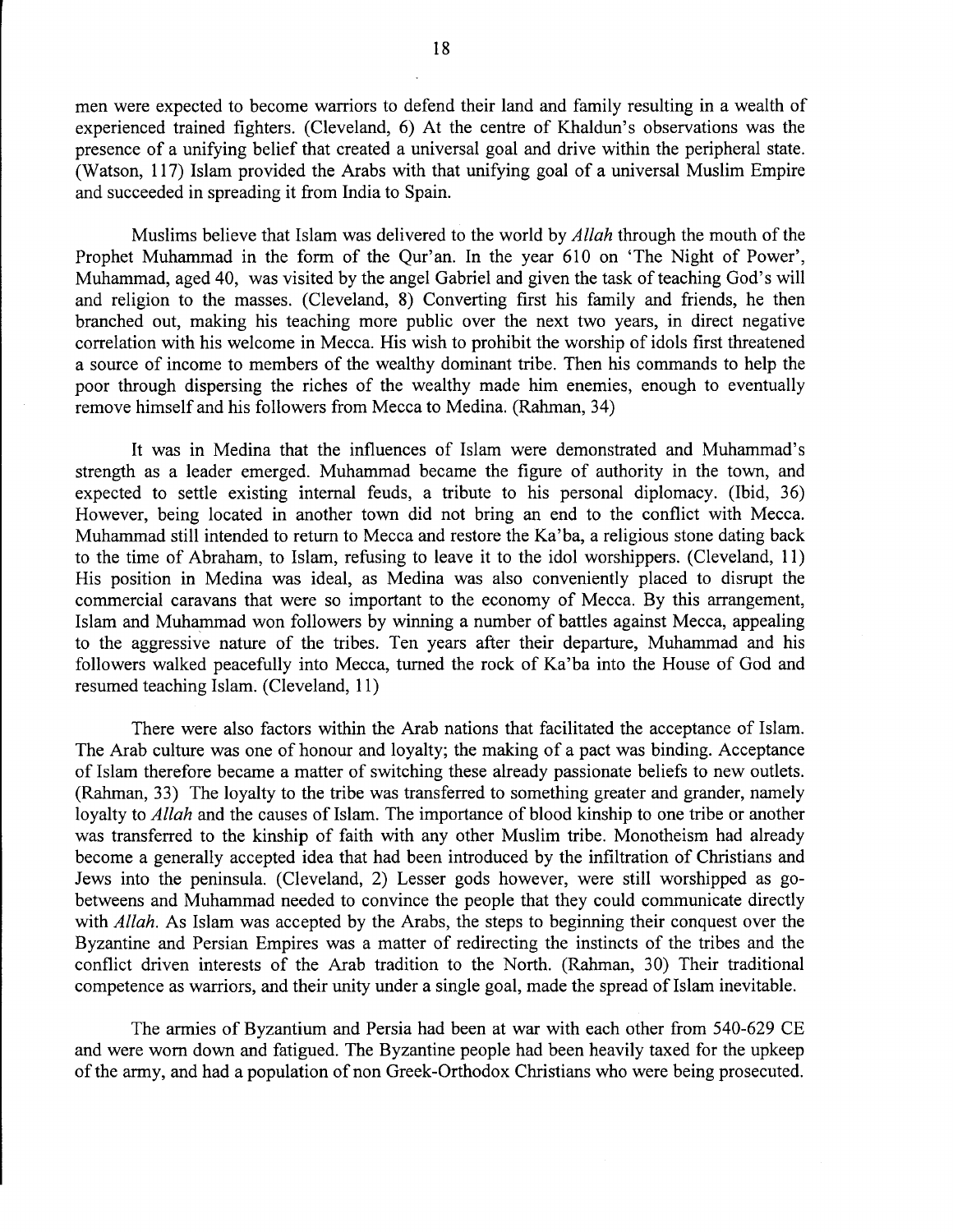men were expected to become warriors to defend their land and family resulting in a wealth of experienced trained fighters. (Cleveland, 6) At the centre of Khaldun's observations was the presence of a unifying belief that created a universal goal and drive within the peripheral state. (Watson, 117) Islam provided the Arabs with that unifying goal of a universal Muslim Empire and succeeded in spreading it from India to Spain.

Muslims believe that Islam was delivered to the world by *Allah* through the mouth of the Prophet Muhammad in the form of the Qur'an. In the year 610 on 'The Night of Power', Muhammad, aged 40, was visited by the angel Gabriel and given the task of teaching God's will and religion to the masses. (Cleveland, 8) Converting first his family and friends, he then branched out, making his teaching more public over the next two years, in direct negative correlation with his welcome in Mecca. His wish to prohibit the worship of idols first threatened a source of income to members of the wealthy dominant tribe. Then his commands to help the poor through dispersing the riches of the wealthy made him enemies, enough to eventually remove himself and his followers from Mecca to Medina. (Rahman, 34)

It was in Medina that the influences of Islam were demonstrated and Muhammad's strength as a leader emerged. Muhammad became the figure of authority in the town, and expected to settle existing internal feuds, a tribute to his personal diplomacy. (lbid, 36) However, being located in another town did not bring an end to the conflict with Mecca. Muharnmad still intended to return to Mecca and restore the Ka'ba, a religious stone dating back to the time of Abraham, to Islam, refusing to leave it to the idol worshippers. (Cleveland, 11) His position in Medina was ideal, as Medina was also conveniently placed to disrupt the commercial caravans that were so important to the economy of Mecca. By this arrangement, Islam and Muhammad won followers by winning a number of battles against Mecca, appealing to the aggressive nature of the tribes. Ten years after their departure, Muhammad and his followers walked peacefully into Mecca, turned the rock of Ka'ba into the House of God and resumed teaching Islam. (Cleveland, 11)

There were also factors within the Arab nations that facilitated the acceptance of Islam. The Arab culture was one of honour and loyalty; the making of a pact was binding. Acceptance of Islam therefore became a matter of switching these already passionate beliefs to new outlets. (Rahman, 33) The loyalty to the tribe was transferred to something greater and grander, namely loyalty to *Allah* and the causes of Islam. The importance of blood kinship to one tribe or another was transferred to the kinship of faith with any other Muslim tribe. Monotheism had already become a generally accepted idea that had been introduced by the infiltration of Christians and Jews into the peninsula. (Cleveland, 2) Lesser gods however, were still worshipped as gobetweens and Muharnmad needed to convince the people that they could communicate directly with *Allah.* As Islam was accepted by the Arabs, the steps to beginning their conquest over the Byzantine and Persian Empires was a matter of redirecting the instincts of the tribes and the conflict driven interests of the Arab tradition to the North. (Rahman, 30) Their traditional competence as warriors, and their unity under a single goal, made the spread of Islam inevitable.

The armies of Byzantium and Persia had been at war with each other from 540-629 CE and were worn down and fatigued. The Byzantine people had been heavily taxed for the upkeep of the army, and had a population of non Greek-Orthodox Christians who were being prosecuted.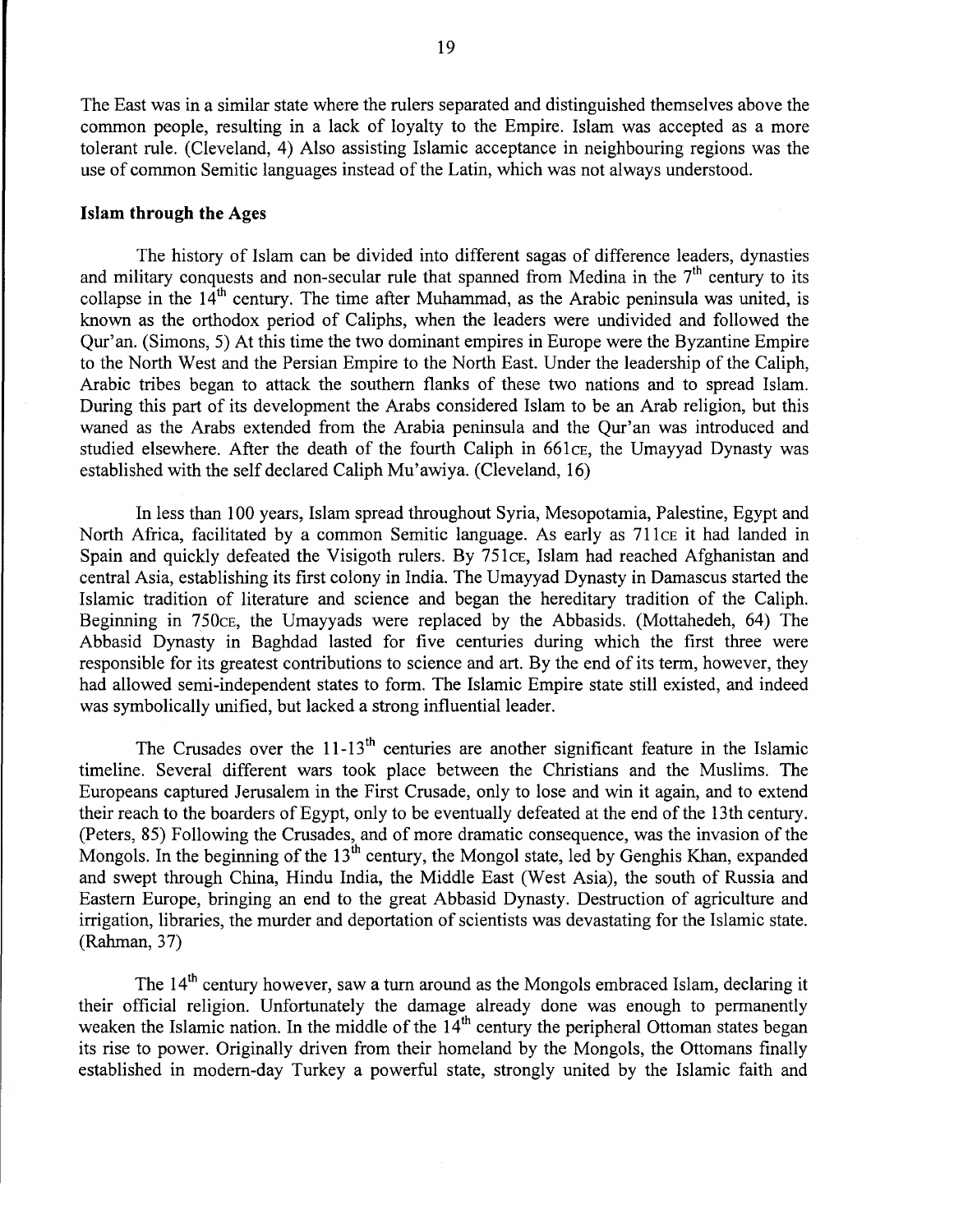The East was in a similar state where the rulers separated and distinguished themselves above the common people, resulting in a lack of loyalty to the Empire. Islam was accepted as a more tolerant rule. (Cleveland, 4) Also assisting Islamic acceptance in neighbouring regions was the use of common Semitic languages instead of the Latin, which was not always understood.

#### **Islam through the** Ages

The history of Islam can be divided into different sagas of difference leaders, dynasties and military conquests and non-secular rule that spanned from Medina in the  $7<sup>th</sup>$  century to its collapse in the  $14<sup>th</sup>$  century. The time after Muhammad, as the Arabic peninsula was united, is known as the orthodox period of Caliphs, when the leaders were undivided and followed the Qur'an. (Simons, 5) At this time the two dominant empires in Europe were the Byzantine Empire to the North West and the Persian Empire to the North East. Under the leadership of the Caliph, Arabic tribes began to attack the southern flanks of these two nations and to spread Islam. During this part of its development the Arabs considered Islam to be an Arab religion, but this waned as the Arabs extended from the Arabia peninsula and the Qur'an was introduced and studied elsewhere. After the death of the fourth Caliph in 661 ce, the Umayyad Dynasty was established with the self declared Caliph Mu'awiya. (Cleveland, 16)

In less than 100 years, Islam spread throughout Syria, Mesopotamia, Palestine, Egypt and North Africa, facilitated by a common Semitic language. As early as 711ce it had landed in Spain and quickly defeated the Visigoth rulers. By 751cE, Islam had reached Afghanistan and central Asia, establishing its first colony in India. The Umayyad Dynasty in Damascus started the Islamic tradition of literature and science and began the hereditary tradition of the Caliph. Beginning in 750cE, the Umayyads were replaced by the Abbasids. (Mottahedeh, 64) The Abbasid Dynasty in Baghdad lasted for five centuries during which the first three were responsible for its greatest contributions to science and art. By the end of its term, however, they had allowed semi-independent states to form. The Islamic Empire state still existed, and indeed was symbolically unified, but lacked a strong influential leader.

The Crusades over the  $11-13<sup>th</sup>$  centuries are another significant feature in the Islamic timeline. Several different wars took place between the Christians and the Muslims. The Europeans captured Jerusalem in the First Crusade, only to lose and win it again, and to extend their reach to the boarders of Egypt, only to be eventually defeated at the end of the 13th century. (Peters, 85) Following the Crusades, and of more dramatic consequence, was the invasion of the Mongols. In the beginning of the  $13<sup>th</sup>$  century, the Mongol state, led by Genghis Khan, expanded and swept through China, Hindu India, the Middle East (West Asia), the south of Russia and Eastern Europe, bringing an end to the great Abbasid Dynasty. Destruction of agriculture and irrigation, libraries, the murder and deportation of scientists was devastating for the Islamic state. (Rahman, 37)

The 14<sup>th</sup> century however, saw a turn around as the Mongols embraced Islam, declaring it their official religion. Unfortunately the damage already done was enough to permanently weaken the Islamic nation. In the middle of the  $14<sup>th</sup>$  century the peripheral Ottoman states began its rise to power. Originally driven from their homeland by the Mongols, the Ottomans finally established in modem-day Turkey a powerful state, strongly united by the Islamic faith and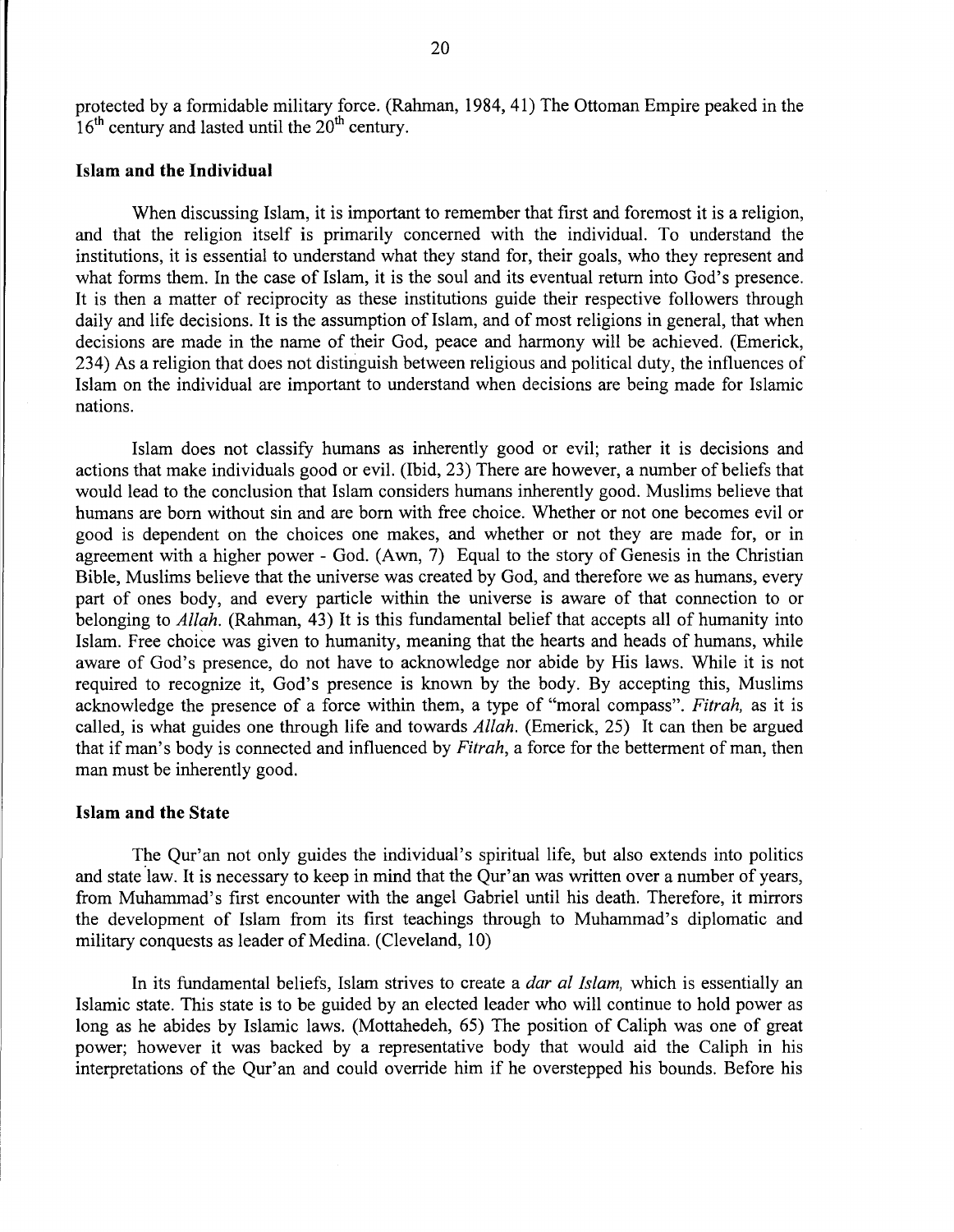protected by a formidable military force. (Rahman, 1984, 41) The Ottoman Empire peaked in the  $16<sup>th</sup>$  century and lasted until the  $20<sup>th</sup>$  century.

## **Islam and the Individual**

When discussing Islam, it is important to remember that first and foremost it is a religion, and that the religion itself is primarily concerned with the individual. To understand the institutions, it is essential to understand what they stand for, their goals, who they represent and what forms them. In the case of Islam, it is the soul and its eventual return into God's presence. It is then a matter of reciprocity as these institutions guide their respective followers through daily and life decisions. It is the assumption of Islam, and of most religions in general, that when decisions are made in the name of their God, peace and harmony will be achieved. (Emerick, 234) As a religion that does not distinguish between religious and political duty, the influences of Islam on the individual are important to understand when decisions are being made for Islamic nations.

Islam does not classify humans as inherently good or evil; rather it is decisions and actions that make individuals good or evil. (Ibid, 23) There are however, a number of beliefs that would lead to the conclusion that Islam considers humans inherently good. Muslims believe that humans are born without sin and are born with free choice. Whether or not one becomes evil or good is dependent on the choices one makes, and whether or not they are made for, or in agreement with a higher power- God. (Awn, 7) Equal to the story of Genesis in the Christian Bible, Muslims believe that the universe was created by God, and therefore we as humans, every part of ones body, and every particle within the universe is aware of that connection to or belonging to *Allah.* (Rahman, 43) It is this fundamental belief that accepts all of humanity into Islam. Free choice was given to humanity, meaning that the hearts and heads of humans, while aware of God's presence, do not have to acknowledge nor abide by His laws. While it is not required to recognize it, God's presence is known by the body. By accepting this, Muslims acknowledge the presence of a force within them, a type of "moral compass". *Fitrah,* as it is called, is what guides one through life and towards *Allah.* (Emerick, 25) It can then be argued that if man's body is connected and influenced by *Fitrah,* a force for the betterment of man, then man must be inherently good.

## **Islam and the State**

The Qur'an not only guides the individual's spiritual life, but also extends into politics and state law. It is necessary to keep in mind that the Qur'an was written over a number of years, from Muhammad's first encounter with the angel Gabriel until his death. Therefore, it mirrors the development of Islam from its first teachings through to Muhammad's diplomatic and military conquests as leader of Medina. (Cleveland, 10)

In its fundamental beliefs, Islam strives to create a *dar al Islam,* which is essentially an Islamic state. This state is to be guided by an elected leader who will continue to hold power as long as he abides by Islamic laws. (Mottahedeh, 65) The position of Caliph was one of great power; however it was backed by a representative body that would aid the Caliph in his interpretations of the Qur'an and could override him if he overstepped his bounds. Before his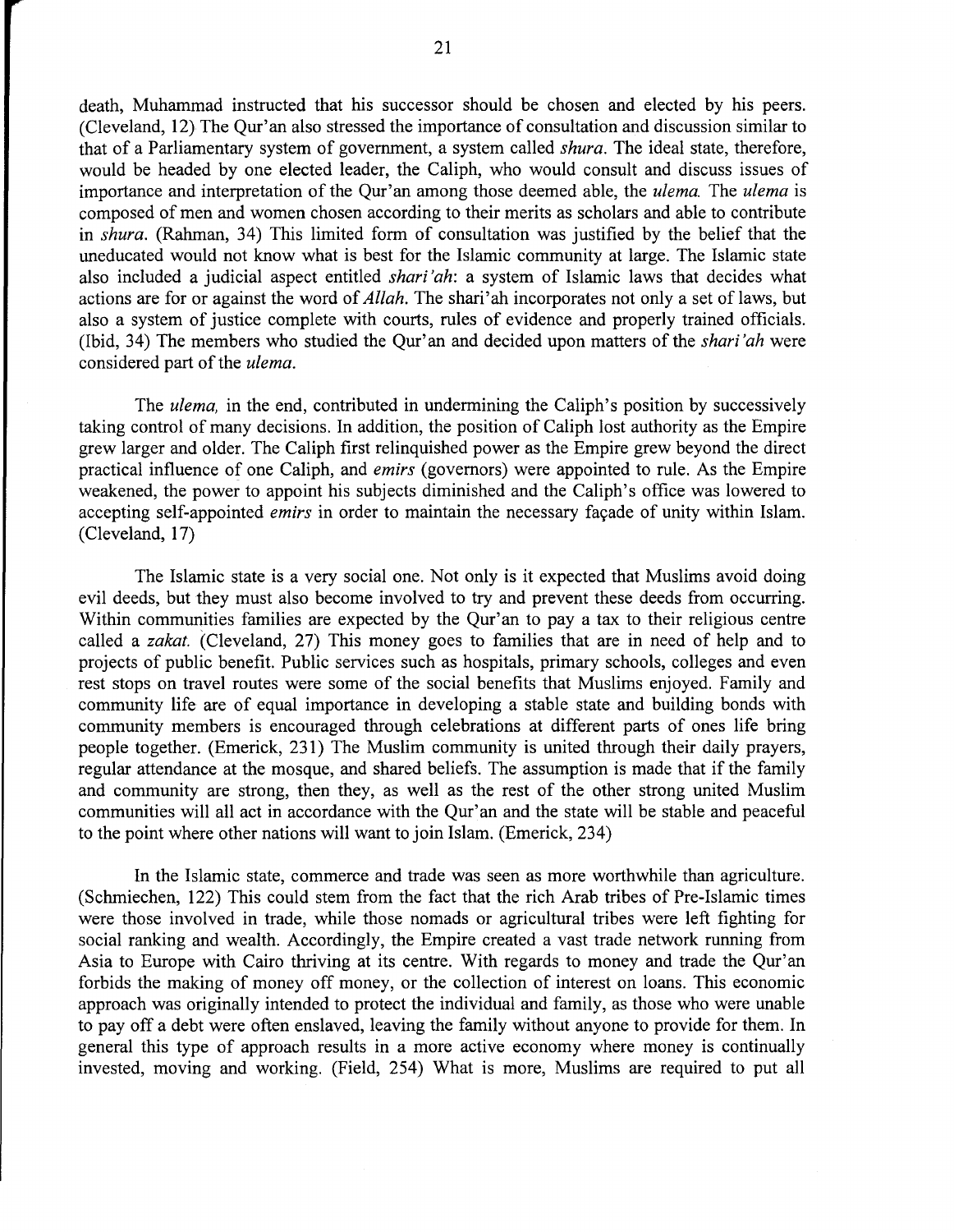death, Muhammad instructed that his successor should be chosen and elected by his peers. (Cleveland, 12) The Qur'an also stressed the importance of consultation and discussion similar to that of a Parliamentary system of government, a system called *shura.* The ideal state, therefore, would be headed by one elected leader, the Caliph, who would consult and discuss issues of importance and interpretation of the Qur'an among those deemed able, the *ulema.* The *ulema* is composed of men and women chosen according to their merits as scholars and able to contribute in *shura.* (Rahman, 34) This limited form of consultation was justified by the belief that the uneducated would not know what is best for the Islamic community at large. The Islamic state also included a judicial aspect entitled *shari 'ah:* a system of Islamic laws that decides what actions are for or against the word of *Allah*. The shari'ah incorporates not only a set of laws, but also a system of justice complete with courts, rules of evidence and properly trained officials. (Ibid, 34) The members who studied the Qur'an and decided upon matters of the *shari'ah* were considered part of the *ulema.* 

The *ulema*, in the end, contributed in undermining the Caliph's position by successively taking control of many decisions. In addition, the position of Caliph lost authority as the Empire grew larger and older. The Caliph first relinquished power as the Empire grew beyond the direct practical influence of one Caliph, and *emirs* (governors) were appointed to rule. As the Empire weakened, the power to appoint his subjects diminished and the Caliph's office was lowered to accepting self-appointed *emirs* in order to maintain the necessary façade of unity within Islam. (Cleveland, 17)

The Islamic state is a very social one. Not only is it expected that Muslims avoid doing evil deeds, but they must also become involved to try and prevent these deeds from occurring. Within communities families are expected by the Qur'an to pay a tax to their religious centre called a *zakat.* (Cleveland, 27) This money goes to families that are in need of help and to projects of public benefit. Public services such as hospitals, primary schools, colleges and even rest stops on travel routes were some of the social benefits that Muslims enjoyed. Family and community life are of equal importance in developing a stable state and building bonds with community members is encouraged through celebrations at different parts of ones life bring people together. (Emerick, 231) The Muslim community is united through their daily prayers, regular attendance at the mosque, and shared beliefs. The assumption is made that if the family and community are strong, then they, as well as the rest of the other strong united Muslim communities will all act in accordance with the Qur'an and the state will be stable and peaceful to the point where other nations will want to join Islam. (Emerick, 234)

In the Islamic state, commerce and trade was seen as more worthwhile than agriculture. (Schmiechen, 122) This could stem from the fact that the rich Arab tribes of Pre-Islamic times were those involved in trade, while those nomads or agricultural tribes were left fighting for social ranking and wealth. Accordingly, the Empire created a vast trade network running from Asia to Europe with Cairo thriving at its centre. With regards to money and trade the Qur'an forbids the making of money off money, or the collection of interest on loans. This economic approach was originally intended to protect the individual and family, as those who were unable to pay off a debt were often enslaved, leaving the family without anyone to provide for them. In general this type of approach results in a more active economy where money is continually invested, moving and working. (Field, 254) What is more, Muslims are required to put all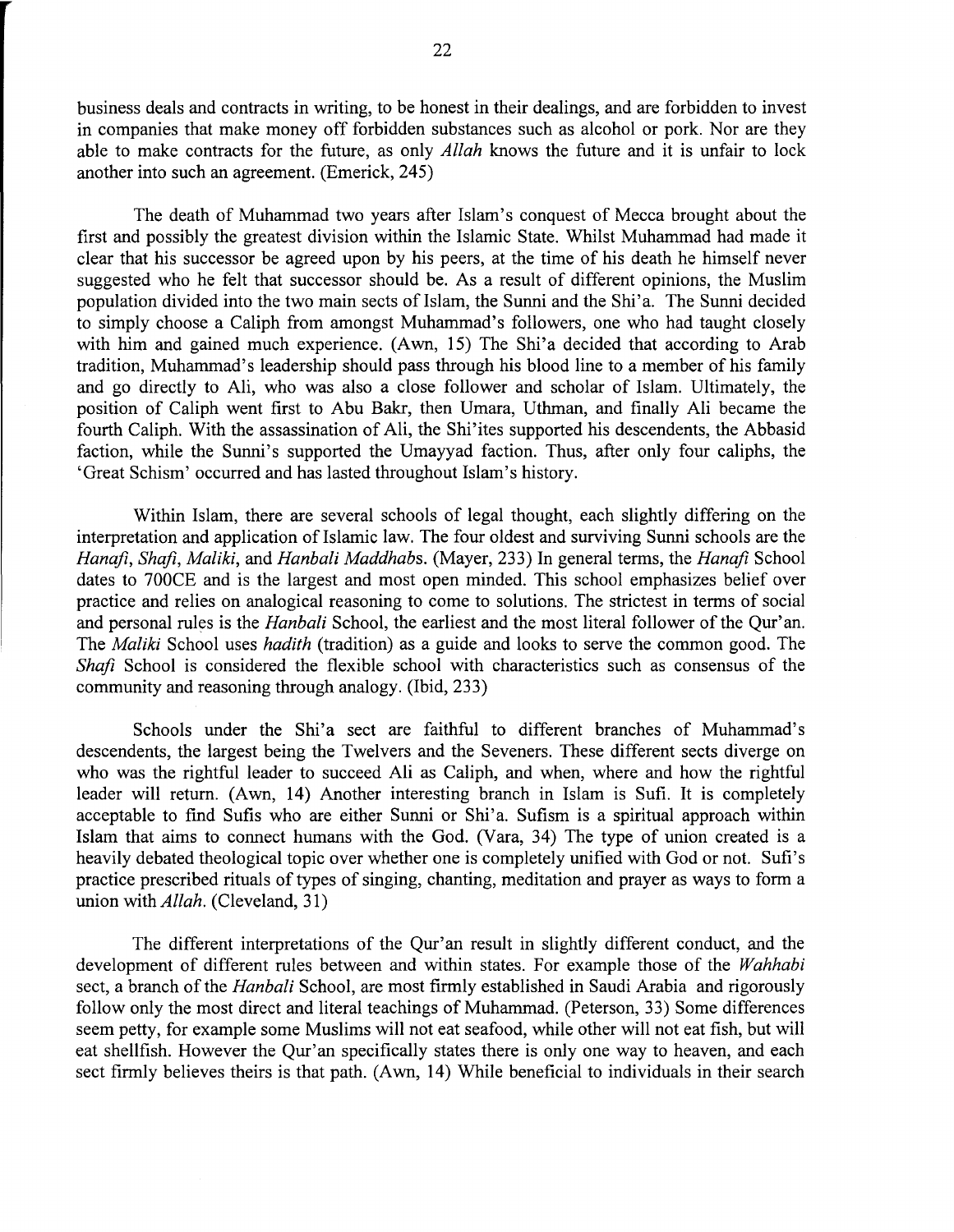business deals and contracts in writing, to be honest in their dealings, and are forbidden to invest in companies that make money off forbidden substances such as alcohol or pork. Nor are they able to make contracts for the future, as only *Allah* knows the future and it is unfair to lock another into such an agreement. (Emerick, 245)

The death of Muhammad two years after Islam's conquest of Mecca brought about the first and possibly the greatest division within the Islamic State. Whilst Muhammad had made it clear that his successor be agreed upon by his peers, at the time of his death he himself never suggested who he felt that successor should be. As a result of different opinions, the Muslim population divided into the two main sects of Islam, the Sunni and the Shi'a. The Sunni decided to simply choose a Caliph from amongst Muhammad's followers, one who had taught closely with him and gained much experience. (Awn, 15) The Shi'a decided that according to Arab tradition, Muhammad's leadership should pass through his blood line to a member of his family and go directly to Ali, who was also a close follower and scholar of Islam. Ultimately, the position of Caliph went first to Abu Bakr, then Umara, Uthman, and finally Ali became the fourth Caliph. With the assassination of Ali, the Shi'ites supported his descendents, the Abbasid faction, while the Sunni's supported the Umayyad faction. Thus, after only four caliphs, the 'Great Schism' occurred and has lasted throughout Islam's history.

Within Islam, there are several schools of legal thought, each slightly differing on the interpretation and application of Islamic law. The four oldest and surviving Sunni schools are the *Hanaji, Shaji, Maliki,* and *Hanbali Maddhabs.* (Mayer, 233) In general terms, the *Hanaji* School dates to 700CE and is the largest and most open minded. This school emphasizes belief over practice and relies on analogical reasoning to come to solutions. The strictest in terms of social and personal rules is the *Hanbali* School, the earliest and the most literal follower of the Qur'an. The *Maliki* School uses *hadith* (tradition) as a guide and looks to serve the common good. The *Shafi* School is considered the flexible school with characteristics such as consensus of the community and reasoning through analogy. (Ibid, 233)

Schools under the Shi'a sect are faithful to different branches of Muhammad's descendents, the largest being the Twelvers and the Seveners. These different sects diverge on who was the rightful leader to succeed Ali as Caliph, and when, where and how the rightful leader will return. (Awn, 14) Another interesting branch in Islam is Sufi. It is completely acceptable to find Sufis who are either Sunni or Shi'a. Sufism is a spiritual approach within Islam that aims to connect humans with the God. (Vara, 34) The type of union created is a heavily debated theological topic over whether one is completely unified with God or not. Sufi's practice prescribed rituals of types of singing, chanting, meditation and prayer as ways to form a union with *Allah.* (Cleveland, 31)

The different interpretations of the Qur'an result in slightly different conduct, and the development of different rules between and within states. For example those of the *Wahhabi*  sect, a branch of the *Hanbali* School, are most firmly established in Saudi Arabia and rigorously follow only the most direct and literal teachings of Muhammad. (Peterson, 33) Some differences seem petty, for example some Muslims will not eat seafood, while other will not eat fish, but will eat shellfish. However the Qur'an specifically states there is only one way to heaven, and each sect firmly believes theirs is that path. (Awn, 14) While beneficial to individuals in their search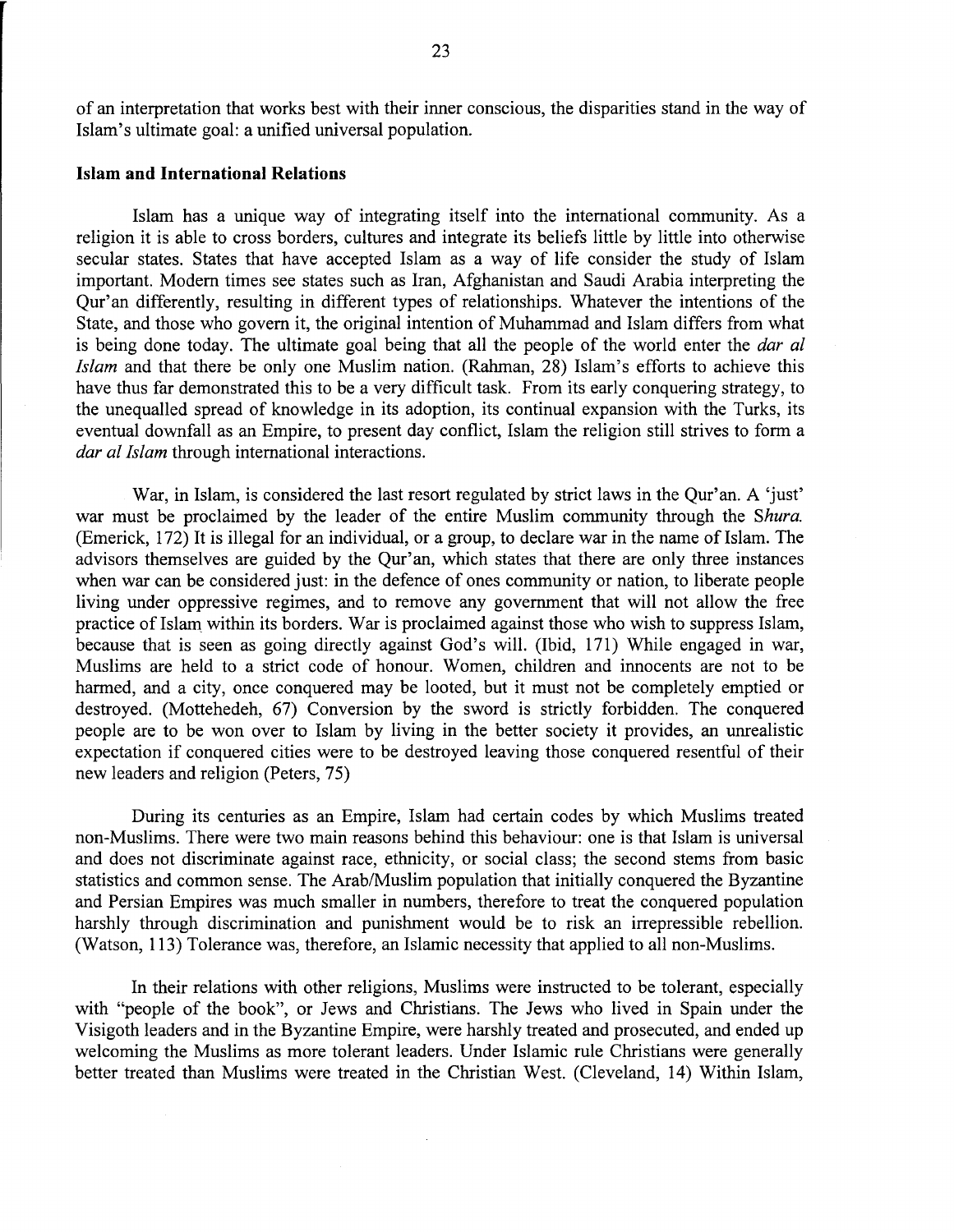of an interpretation that works best with their inner conscious, the disparities stand in the way of Islam's ultimate goal: a unified universal population.

## **Islam and International Relations**

Islam has a unique way of integrating itself into the international community. As a religion it is able to cross borders, cultures and integrate its beliefs little by little into otherwise secular states. States that have accepted Islam as a way of life consider the study of Islam important. Modem times see states such as Iran, Afghanistan and Saudi Arabia interpreting the Qur'an differently, resulting in different types of relationships. Whatever the intentions of the State, and those who govern it, the original intention of Muhammad and Islam differs from what is being done today. The ultimate goal being that all the people of the world enter the *dar al Islam* and that there be only one Muslim nation. (Rahman, 28) Islam's efforts to achieve this have thus far demonstrated this to be a very difficult task. From its early conquering strategy, to the unequalled spread of knowledge in its adoption, its continual expansion with the Turks, its eventual downfall as an Empire, to present day conflict, Islam the religion still strives to form a *dar al Islam* through international interactions.

War, in Islam, is considered the last resort regulated by strict laws in the Qur'an. A 'just' war must be proclaimed by the leader of the entire Muslim community through the *Shura.*  (Emerick, 172) It is illegal for an individual, or a group, to declare war in the name of Islam. The advisors themselves are guided by the Qur'an, which states that there are only three instances when war can be considered just: in the defence of ones community or nation, to liberate people living under oppressive regimes, and to remove any government that will not allow the free practice of Islam\_ within its borders. War is proclaimed against those who wish to suppress Islam, because that is seen as going directly against God's will. (Ibid, 171) While engaged in war, Muslims are held to a strict code of honour. Women, children and innocents are not to be harmed, and a city, once conquered may be looted, but it must not be completely emptied or destroyed. (Mottehedeh, 67) Conversion by the sword is strictly forbidden. The conquered people are to be won over to Islam by living in the better society it provides, an unrealistic expectation if conquered cities were to be destroyed leaving those conquered resentful of their new leaders and religion (Peters, 75)

During its centuries as an Empire, Islam had certain codes by which Muslims treated non-Muslims. There were two main reasons behind this behaviour: one is that Islam is universal and does not discriminate against race, ethnicity, or social class; the second stems from basic statistics and common sense. The Arab/Muslim population that initially conquered the Byzantine and Persian Empires was much smaller in numbers, therefore to treat the conquered population harshly through discrimination and punishment would be to risk an irrepressible rebellion. (Watson, 113) Tolerance was, therefore, an Islamic necessity that applied to all non-Muslims.

In their relations with other religions, Muslims were instructed to be tolerant, especially with "people of the book", or Jews and Christians. The Jews who lived in Spain under the Visigoth leaders and in the Byzantine Empire, were harshly treated and prosecuted, and ended up welcoming the Muslims as more tolerant leaders. Under Islamic rule Christians were generally better treated than Muslims were treated in the Christian West. (Cleveland, 14) Within Islam,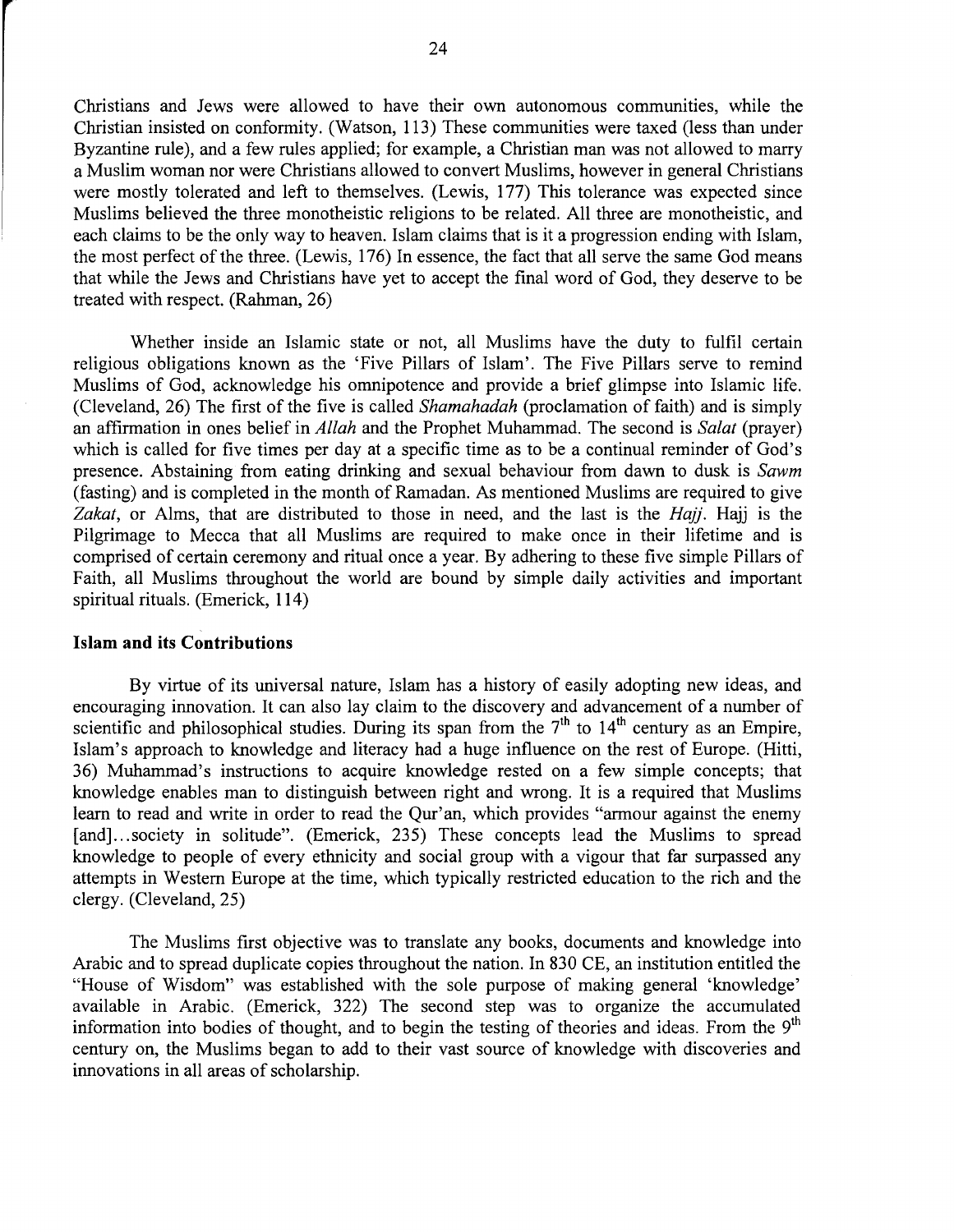Christians and Jews were allowed to have their own autonomous commumtles, while the Christian insisted on conformity. (Watson, 113) These communities were taxed (less than under Byzantine rule), and a few rules applied; for example, a Christian man was not allowed to marry a Muslim woman nor were Christians allowed to convert Muslims, however in general Christians were mostly tolerated and left to themselves. (Lewis, 177) This tolerance was expected since Muslims believed the three monotheistic religions to be related. All three are monotheistic, and each claims to be the only way to heaven. Islam claims that is it a progression ending with Islam, the most perfect of the three. (Lewis, 176) In essence, the fact that all serve the same God means that while the Jews and Christians have yet to accept the final word of God, they deserve to be treated with respect. (Rahman, 26)

Whether inside an Islamic state or not, all Muslims have the duty to fulfil certain religious obligations known as the 'Five Pillars of Islam'. The Five Pillars serve to remind Muslims of God, acknowledge his omnipotence and provide a brief glimpse into Islamic life. (Cleveland, 26) The first of the five is called *Sharnahadah* (proclamation of faith) and is simply an affirmation in ones belief in *Allah* and the Prophet Muhammad. The second is *Salat* (prayer) which is called for five times per day at a specific time as to be a continual reminder of God's presence. Abstaining from eating drinking and sexual behaviour from dawn to dusk is *Sawrn*  (fasting) and is completed in the month of Ramadan. As mentioned Muslims are required to give *Zakat,* or Alms, that are distributed to those in need, and the last is the *Hajj.* Hajj is the Pilgrimage to Mecca that all Muslims are required to make once in their lifetime and is comprised of certain ceremony and ritual once a year. By adhering to these five simple Pillars of Faith, all Muslims throughout the world are bound by simple daily activities and important spiritual rituals. (Emerick, **114)** 

## **Islam and its Contributions**

By virtue of its universal nature, Islam has a history of easily adopting new ideas, and encouraging innovation. It can also lay claim to the discovery and advancement of a number of scientific and philosophical studies. During its span from the  $7<sup>th</sup>$  to  $14<sup>th</sup>$  century as an Empire, Islam's approach to knowledge and literacy had a huge influence on the rest of Europe. (Hitti, 36) Muhammad's instructions to acquire knowledge rested on a few simple concepts; that knowledge enables man to distinguish between right and wrong. It is a required that Muslims learn to read and write in order to read the Qur'an, which provides "armour against the enemy [and]...society in solitude". (Emerick, 235) These concepts lead the Muslims to spread knowledge to people of every ethnicity and social group with a vigour that far surpassed any attempts in Western Europe at the time, which typically restricted education to the rich and the clergy. (Cleveland, 25)

The Muslims first objective was to translate any books, documents and knowledge into Arabic and to spread duplicate copies throughout the nation. In 830 CE, an institution entitled the "House of Wisdom" was established with the sole purpose of making general 'knowledge' available in Arabic. (Emerick, 322) The second step was to organize the accumulated information into bodies of thought, and to begin the testing of theories and ideas. From the  $9<sup>th</sup>$ century on, the Muslims began to add to their vast source of knowledge with discoveries and innovations in all areas of scholarship.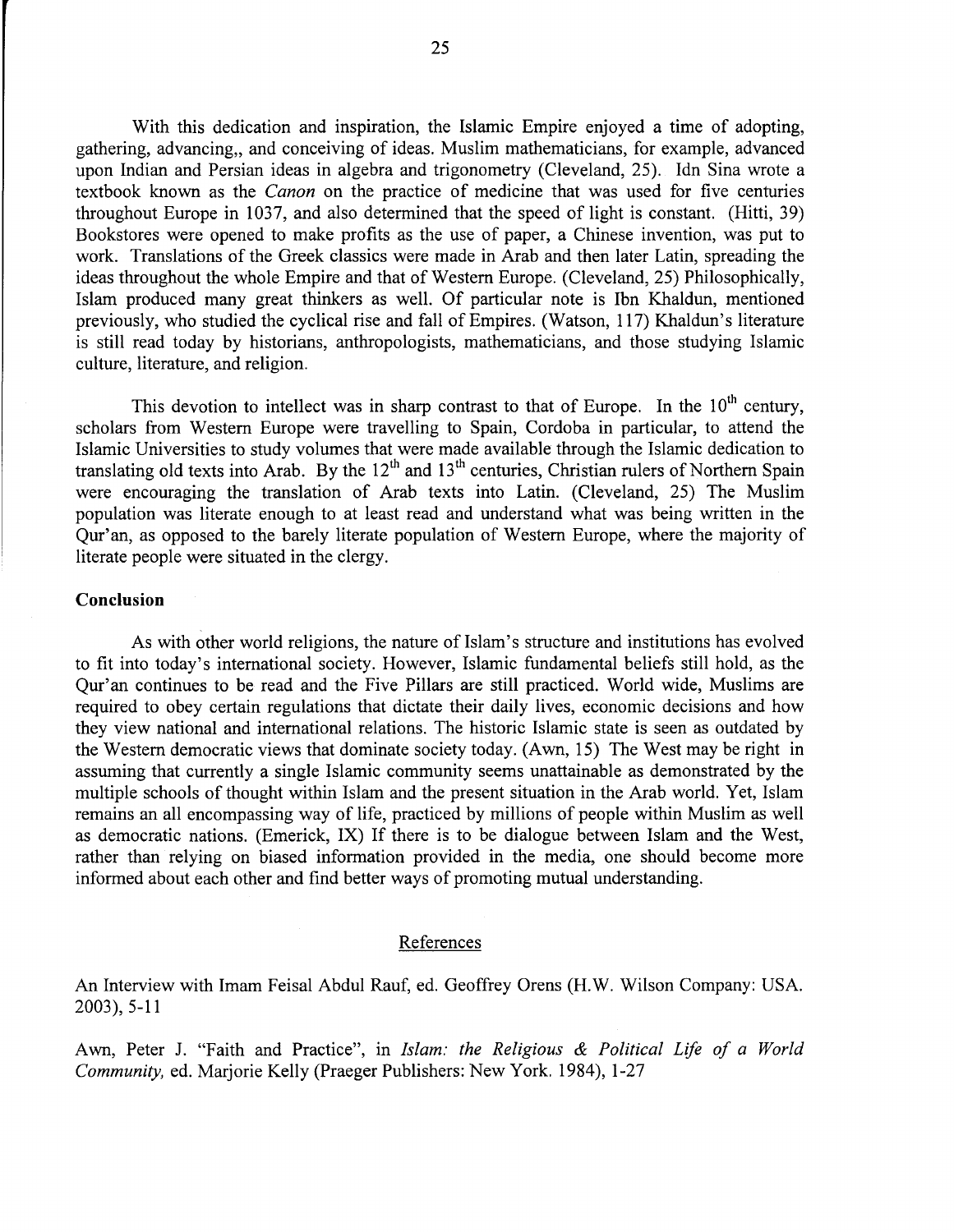With this dedication and inspiration, the Islamic Empire enjoyed a time of adopting, gathering, advancing, and conceiving of ideas. Muslim mathematicians, for example, advanced upon Indian and Persian ideas in algebra and trigonometry (Cleveland, 25). Idn Sina wrote a textbook known as the *Canon* on the practice of medicine that was used for five centuries throughout Europe in 1037, and also determined that the speed of light is constant. (Hitti, 39) Bookstores were opened to make profits as the use of paper, a Chinese invention, was put to work. Translations of the Greek classics were made in Arab and then later Latin, spreading the ideas throughout the whole Empire and that of Western Europe. (Cleveland, 25) Philosophically, Islam produced many great thinkers as well. Of particular note is Ibn Khaldun, mentioned previously, who studied the cyclical rise and fall of Empires. (Watson, 117) Khaldun's literature is still read today by historians, anthropologists, mathematicians, and those studying Islamic culture, literature, and religion.

This devotion to intellect was in sharp contrast to that of Europe. In the  $10<sup>th</sup>$  century, scholars from Western Europe were travelling to Spain, Cordoba in particular, to attend the Islamic Universities to study volumes that were made available through the Islamic dedication to translating old texts into Arab. By the  $12<sup>th</sup>$  and  $13<sup>th</sup>$  centuries, Christian rulers of Northern Spain were encouraging the translation of Arab texts into Latin. (Cleveland, 25) The Muslim population was literate enough to at least read and understand what was being written in the Qur'an, as opposed to the barely literate population of Western Europe, where the majority of literate people were situated in the clergy.

## **Conclusion**

As with other world religions, the nature of Islam's structure and institutions has evolved to fit into today's international society. However, Islamic fundamental beliefs still hold, as the Qur'an continues to be read and the Five Pillars are still practiced. World wide, Muslims are required to obey certain regulations that dictate their daily lives, economic decisions and how they view national and international relations. The historic Islamic state is seen as outdated by the Western democratic views that dominate society today. (Awn, 15) The West may be right in assuming that currently a single Islamic community seems unattainable as demonstrated by the multiple schools of thought within Islam and the present situation in the Arab world. Yet, Islam remains an all encompassing way of life, practiced by millions of people within Muslim as well as democratic nations. (Emerick, IX) If there is to be dialogue between Islam and the West, rather than relying on biased information provided in the media, one should become more informed about each other and find better ways of promoting mutual understanding.

#### References

An Interview with Imam Feisal Abdul Rauf, ed. Geoffrey Orens (H.W. Wilson Company: USA. 2003), 5-11

Awn, Peter J. "Faith and Practice", in *Islam: the Religious* & *Political Life of a World Community,* ed. Marjorie Kelly (Praeger Publishers: New York. 1984), 1-27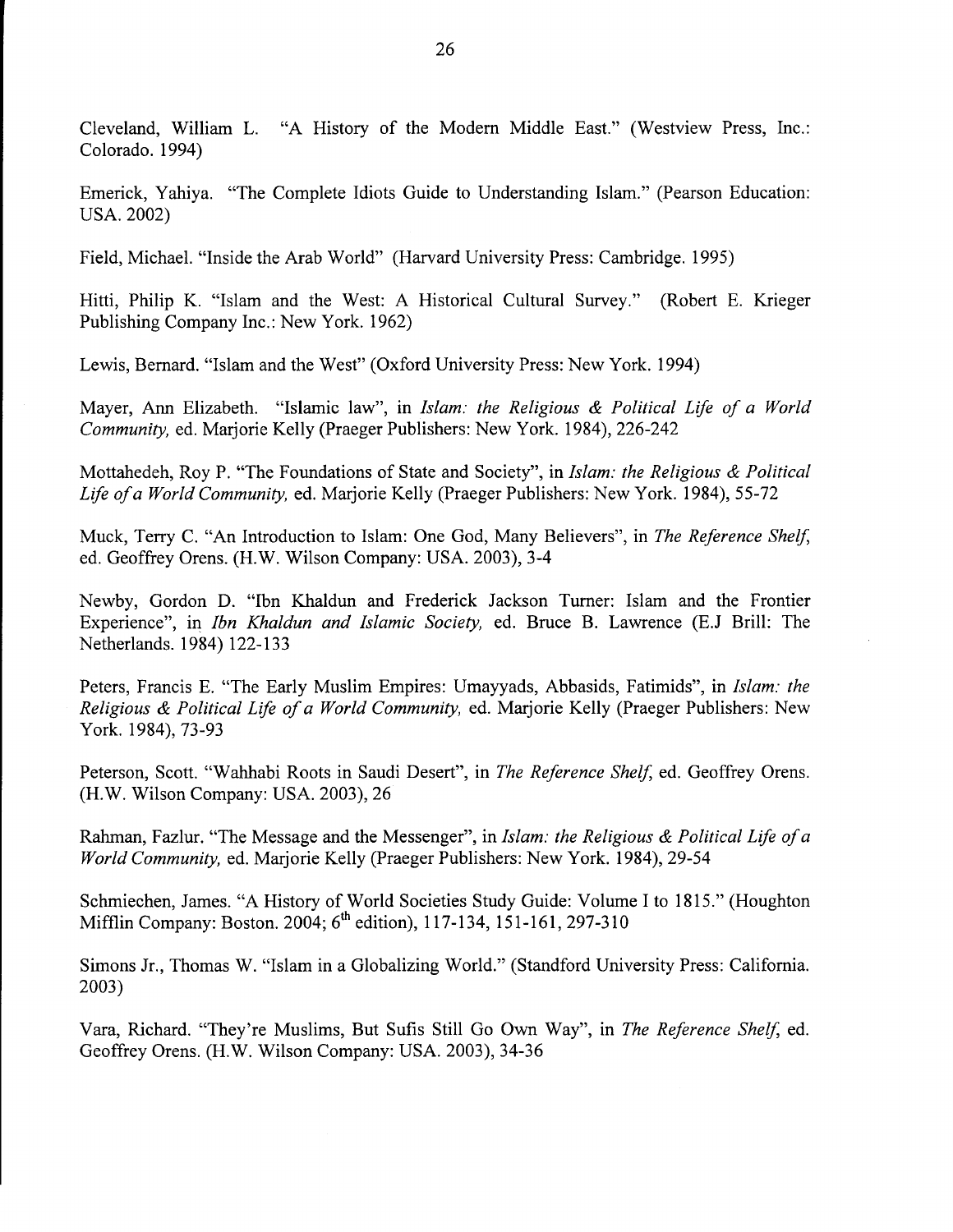Cleveland, William L. "A History of the Modern Middle East." (Westview Press, Inc.: Colorado. 1994)

Emerick, Yahiya. "The Complete Idiots Guide to Understanding Islam." (Pearson Education: USA. 2002)

Field, Michael. "Inside the Arab World" (Harvard University Press: Cambridge. 1995)

Hitti, Philip K. "Islam and the West: A Historical Cultural Survey." (Robert E. Krieger Publishing Company Inc.: New York. 1962)

Lewis, Bernard. "Islam and the West" (Oxford University Press: New York. 1994)

Mayer, Ann Elizabeth. "Islamic law", in *Islam: the Religious* & *Political Life of a World Community,* ed. Marjorie Kelly (Praeger Publishers: New York. 1984), 226-242

Mottahedeh, Roy P. "The Foundations of State and Society", in *Islam: the Religious* & *Political Life of a World Community,* ed. Marjorie Kelly (Praeger Publishers: New York. 1984), 55-72

Muck, Terry C. "An Introduction to Islam: One God, Many Believers", in *The Reference Shelf,*  ed. Geoffrey Orens. (H.W. Wilson Company: USA. 2003), 3-4

Newby, Gordon D. "Ibn Khaldun and Frederick Jackson Turner: Islam and the Frontier Experience", in *Ibn Khaldun and Islamic Society,* ed. Bruce B. Lawrence (E.J Brill: The Netherlands. 1984) 122-133

Peters, Francis E. "The Early Muslim Empires: Umayyads, Abbasids, Fatimids", in *Islam: the Religious* & *Political Life of a World Community,* ed. Marjorie Kelly (Praeger Publishers: New York. 1984), 73-93

Peterson, Scott. "Wahhabi Roots in Saudi Desert", in *The Reference Shelf,* ed. Geoffrey Orens. (H.W. Wilson Company: USA. 2003), 26

Rahman, Fazlur. "The Message and the Messenger", in *Islam: the Religious* & *Political Life of a World Community,* ed. Marjorie Kelly (Praeger Publishers: New York. 1984), 29-54

Schmiechen, James. "A History of World Societies Study Guide: Volume I to 1815." (Houghton Mifflin Company: Boston. 2004; 6<sup>th</sup> edition), 117-134, 151-161, 297-310

Simons Jr., Thomas W. "Islam in a Globalizing World." (Standford University Press: California. 2003)

Vara, Richard. "They're Muslims, But Sufis Still Go Own Way", in *The Reference Shelf,* ed. Geoffrey Orens. (H.W. Wilson Company: USA. 2003), 34-36